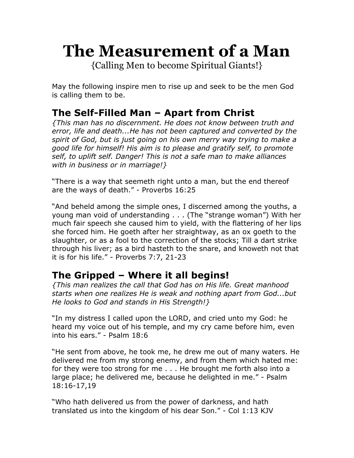# **The Measurement of a Man**

{Calling Men to become Spiritual Giants!}

May the following inspire men to rise up and seek to be the men God is calling them to be.

## **The Self-Filled Man – Apart from Christ**

*{This man has no discernment. He does not know between truth and error, life and death...He has not been captured and converted by the spirit of God, but is just going on his own merry way trying to make a good life for himself! His aim is to please and gratify self, to promote self, to uplift self. Danger! This is not a safe man to make alliances with in business or in marriage!}* 

"There is a way that seemeth right unto a man, but the end thereof are the ways of death." - Proverbs 16:25

"And beheld among the simple ones, I discerned among the youths, a young man void of understanding . . . (The "strange woman") With her much fair speech she caused him to yield, with the flattering of her lips she forced him. He goeth after her straightway, as an ox goeth to the slaughter, or as a fool to the correction of the stocks; Till a dart strike through his liver; as a bird hasteth to the snare, and knoweth not that it is for his life." - Proverbs 7:7, 21-23

## **The Gripped – Where it all begins!**

*{This man realizes the call that God has on His life. Great manhood starts when one realizes He is weak and nothing apart from God...but He looks to God and stands in His Strength!}* 

"In my distress I called upon the LORD, and cried unto my God: he heard my voice out of his temple, and my cry came before him, even into his ears." - Psalm 18:6

"He sent from above, he took me, he drew me out of many waters. He delivered me from my strong enemy, and from them which hated me: for they were too strong for me . . . He brought me forth also into a large place; he delivered me, because he delighted in me." - Psalm 18:16-17,19

"Who hath delivered us from the power of darkness, and hath translated us into the kingdom of his dear Son." - Col 1:13 KJV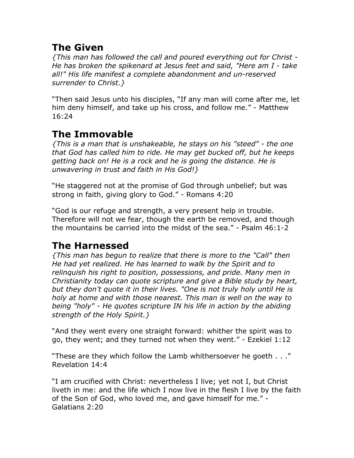## **The Given**

*{This man has followed the call and poured everything out for Christ - He has broken the spikenard at Jesus feet and said, "Here am I - take all!" His life manifest a complete abandonment and un-reserved surrender to Christ.}*

"Then said Jesus unto his disciples, "If any man will come after me, let him deny himself, and take up his cross, and follow me." - Matthew 16:24

## **The Immovable**

*{This is a man that is unshakeable, he stays on his "steed" - the one that God has called him to ride. He may get bucked off, but he keeps getting back on! He is a rock and he is going the distance. He is unwavering in trust and faith in His God!}* 

"He staggered not at the promise of God through unbelief; but was strong in faith, giving glory to God." - Romans 4:20

"God is our refuge and strength, a very present help in trouble. Therefore will not we fear, though the earth be removed, and though the mountains be carried into the midst of the sea." - Psalm 46:1-2

## **The Harnessed**

*{This man has begun to realize that there is more to the "Call" then He had yet realized. He has learned to walk by the Spirit and to relinquish his right to position, possessions, and pride. Many men in Christianity today can quote scripture and give a Bible study by heart, but they don't quote it in their lives. "One is not truly holy until He is holy at home and with those nearest. This man is well on the way to being "holy" - He quotes scripture IN his life in action by the abiding strength of the Holy Spirit.}* 

"And they went every one straight forward: whither the spirit was to go, they went; and they turned not when they went." - Ezekiel 1:12

"These are they which follow the Lamb whithersoever he goeth . . ." Revelation 14:4

"I am crucified with Christ: nevertheless I live; yet not I, but Christ liveth in me: and the life which I now live in the flesh I live by the faith of the Son of God, who loved me, and gave himself for me." - Galatians 2:20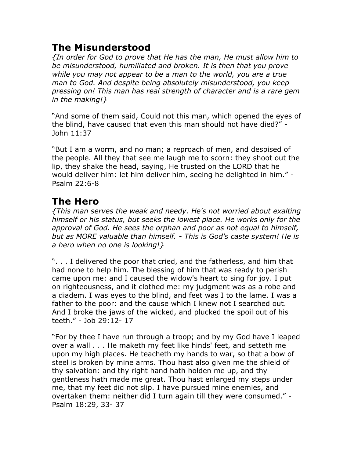#### **The Misunderstood**

*{In order for God to prove that He has the man, He must allow him to be misunderstood, humiliated and broken. It is then that you prove while you may not appear to be a man to the world, you are a true man to God. And despite being absolutely misunderstood, you keep pressing on! This man has real strength of character and is a rare gem in the making!}* 

"And some of them said, Could not this man, which opened the eyes of the blind, have caused that even this man should not have died?" - John 11:37

"But I am a worm, and no man; a reproach of men, and despised of the people. All they that see me laugh me to scorn: they shoot out the lip, they shake the head, saying, He trusted on the LORD that he would deliver him: let him deliver him, seeing he delighted in him." - Psalm 22:6-8

## **The Hero**

*{This man serves the weak and needy. He's not worried about exalting himself or his status, but seeks the lowest place. He works only for the approval of God. He sees the orphan and poor as not equal to himself, but as MORE valuable than himself. - This is God's caste system! He is a hero when no one is looking!}* 

". . . I delivered the poor that cried, and the fatherless, and him that had none to help him. The blessing of him that was ready to perish came upon me: and I caused the widow's heart to sing for joy. I put on righteousness, and it clothed me: my judgment was as a robe and a diadem. I was eyes to the blind, and feet was I to the lame. I was a father to the poor: and the cause which I knew not I searched out. And I broke the jaws of the wicked, and plucked the spoil out of his teeth." - Job 29:12- 17

"For by thee I have run through a troop; and by my God have I leaped over a wall . . . He maketh my feet like hinds' feet, and setteth me upon my high places. He teacheth my hands to war, so that a bow of steel is broken by mine arms. Thou hast also given me the shield of thy salvation: and thy right hand hath holden me up, and thy gentleness hath made me great. Thou hast enlarged my steps under me, that my feet did not slip. I have pursued mine enemies, and overtaken them: neither did I turn again till they were consumed." - Psalm 18:29, 33- 37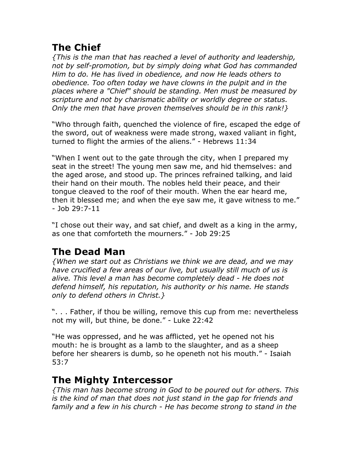## **The Chief**

*{This is the man that has reached a level of authority and leadership, not by self-promotion, but by simply doing what God has commanded Him to do. He has lived in obedience, and now He leads others to obedience. Too often today we have clowns in the pulpit and in the places where a "Chief" should be standing. Men must be measured by scripture and not by charismatic ability or worldly degree or status. Only the men that have proven themselves should be in this rank!}* 

"Who through faith, quenched the violence of fire, escaped the edge of the sword, out of weakness were made strong, waxed valiant in fight, turned to flight the armies of the aliens." - Hebrews 11:34

"When I went out to the gate through the city, when I prepared my seat in the street! The young men saw me, and hid themselves: and the aged arose, and stood up. The princes refrained talking, and laid their hand on their mouth. The nobles held their peace, and their tongue cleaved to the roof of their mouth. When the ear heard me, then it blessed me; and when the eye saw me, it gave witness to me." - Job 29:7-11

"I chose out their way, and sat chief, and dwelt as a king in the army, as one that comforteth the mourners." - Job 29:25

# **The Dead Man**

*{When we start out as Christians we think we are dead, and we may have crucified a few areas of our live, but usually still much of us is alive. This level a man has become completely dead - He does not defend himself, his reputation, his authority or his name. He stands only to defend others in Christ.}* 

". . . Father, if thou be willing, remove this cup from me: nevertheless not my will, but thine, be done." - Luke 22:42

"He was oppressed, and he was afflicted, yet he opened not his mouth: he is brought as a lamb to the slaughter, and as a sheep before her shearers is dumb, so he openeth not his mouth." - Isaiah 53:7

## **The Mighty Intercessor**

*{This man has become strong in God to be poured out for others. This is the kind of man that does not just stand in the gap for friends and family and a few in his church - He has become strong to stand in the*